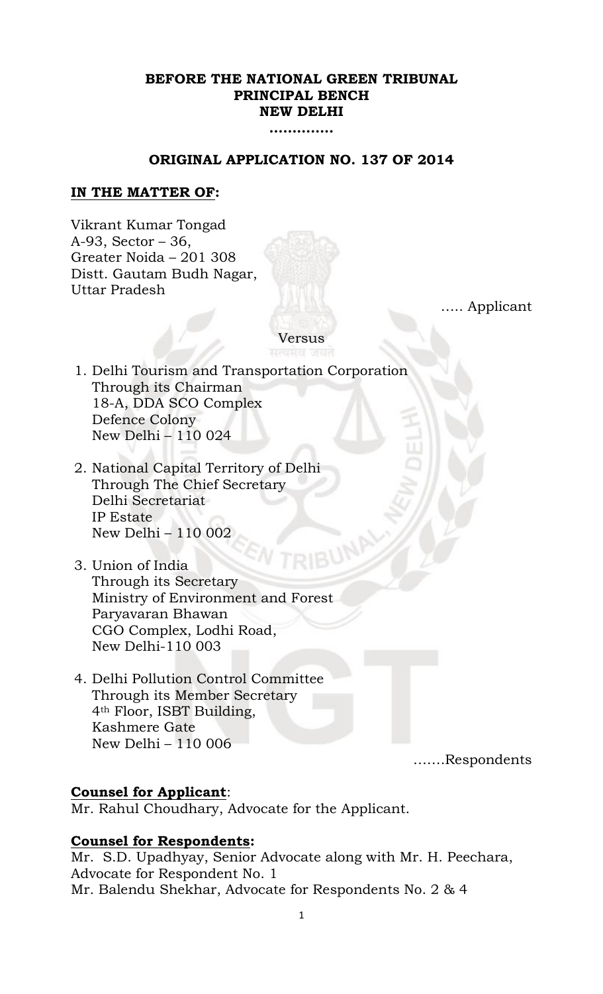# **BEFORE THE NATIONAL GREEN TRIBUNAL PRINCIPAL BENCH NEW DELHI**

**…………..**

## **ORIGINAL APPLICATION NO. 137 OF 2014**

### **IN THE MATTER OF:**

Vikrant Kumar Tongad A-93, Sector – 36, Greater Noida – 201 308 Distt. Gautam Budh Nagar, Uttar Pradesh

….. Applicant

Versus

- 1. Delhi Tourism and Transportation Corporation Through its Chairman 18-A, DDA SCO Complex Defence Colony New Delhi – 110 024
- 2. National Capital Territory of Delhi Through The Chief Secretary Delhi Secretariat IP Estate New Delhi – 110 002
- 3. Union of India Through its Secretary Ministry of Environment and Forest Paryavaran Bhawan CGO Complex, Lodhi Road, New Delhi-110 003
- 4. Delhi Pollution Control Committee Through its Member Secretary 4th Floor, ISBT Building, Kashmere Gate New Delhi – 110 006

…….Respondents

### **Counsel for Applicant**:

Mr. Rahul Choudhary, Advocate for the Applicant.

### **Counsel for Respondents:**

Mr. S.D. Upadhyay, Senior Advocate along with Mr. H. Peechara, Advocate for Respondent No. 1 Mr. Balendu Shekhar, Advocate for Respondents No. 2 & 4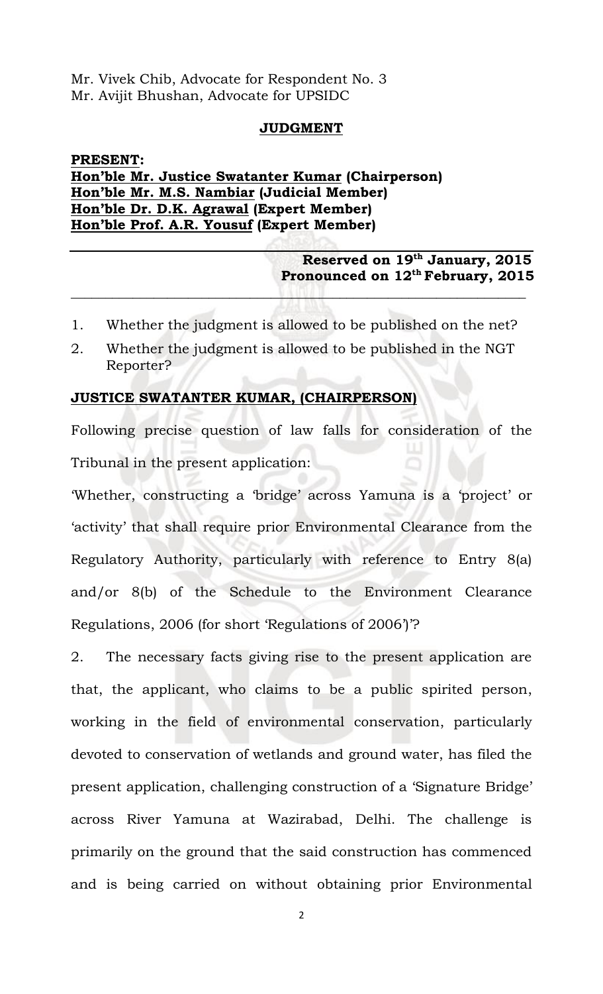Mr. Vivek Chib, Advocate for Respondent No. 3 Mr. Avijit Bhushan, Advocate for UPSIDC

#### **JUDGMENT**

# **PRESENT: Hon'ble Mr. Justice Swatanter Kumar (Chairperson) Hon'ble Mr. M.S. Nambiar (Judicial Member) Hon'ble Dr. D.K. Agrawal (Expert Member) Hon'ble Prof. A.R. Yousuf (Expert Member)**

# **Reserved on 19 th January, 2015 Pronounced on 12th February, 2015**

1. Whether the judgment is allowed to be published on the net?

 $\mathcal{L}_\text{G} = \{ \mathbf{v}_1, \mathbf{v}_2, \mathbf{v}_3, \mathbf{v}_4, \mathbf{v}_5, \mathbf{v}_6, \mathbf{v}_7, \mathbf{v}_8, \mathbf{v}_9, \mathbf{v}_1, \mathbf{v}_2, \mathbf{v}_3, \mathbf{v}_4, \mathbf{v}_5, \mathbf{v}_6, \mathbf{v}_7, \mathbf{v}_8, \mathbf{v}_9, \mathbf{v}_1, \mathbf{v}_2, \mathbf{v}_3, \mathbf{v}_1, \mathbf{v}_2, \mathbf{v}_3, \mathbf{v}_1, \mathbf{v}_$ 

2. Whether the judgment is allowed to be published in the NGT Reporter?

## **JUSTICE SWATANTER KUMAR, (CHAIRPERSON)**

Following precise question of law falls for consideration of the Tribunal in the present application:

'Whether, constructing a 'bridge' across Yamuna is a 'project' or 'activity' that shall require prior Environmental Clearance from the Regulatory Authority, particularly with reference to Entry 8(a) and/or 8(b) of the Schedule to the Environment Clearance Regulations, 2006 (for short 'Regulations of 2006')'?

2. The necessary facts giving rise to the present application are that, the applicant, who claims to be a public spirited person, working in the field of environmental conservation, particularly devoted to conservation of wetlands and ground water, has filed the present application, challenging construction of a 'Signature Bridge' across River Yamuna at Wazirabad, Delhi. The challenge is primarily on the ground that the said construction has commenced and is being carried on without obtaining prior Environmental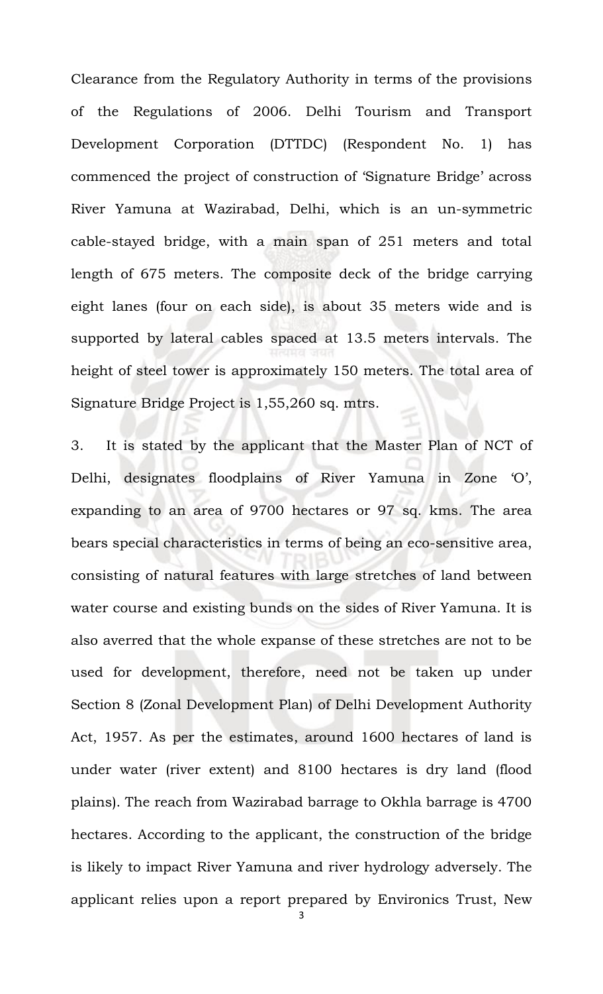Clearance from the Regulatory Authority in terms of the provisions of the Regulations of 2006. Delhi Tourism and Transport Development Corporation (DTTDC) (Respondent No. 1) has commenced the project of construction of 'Signature Bridge' across River Yamuna at Wazirabad, Delhi, which is an un-symmetric cable-stayed bridge, with a main span of 251 meters and total length of 675 meters. The composite deck of the bridge carrying eight lanes (four on each side), is about 35 meters wide and is supported by lateral cables spaced at 13.5 meters intervals. The height of steel tower is approximately 150 meters. The total area of Signature Bridge Project is 1,55,260 sq. mtrs.

3. It is stated by the applicant that the Master Plan of NCT of Delhi, designates floodplains of River Yamuna in Zone 'O', expanding to an area of 9700 hectares or 97 sq. kms. The area bears special characteristics in terms of being an eco-sensitive area, consisting of natural features with large stretches of land between water course and existing bunds on the sides of River Yamuna. It is also averred that the whole expanse of these stretches are not to be used for development, therefore, need not be taken up under Section 8 (Zonal Development Plan) of Delhi Development Authority Act, 1957. As per the estimates, around 1600 hectares of land is under water (river extent) and 8100 hectares is dry land (flood plains). The reach from Wazirabad barrage to Okhla barrage is 4700 hectares. According to the applicant, the construction of the bridge is likely to impact River Yamuna and river hydrology adversely. The applicant relies upon a report prepared by Environics Trust, New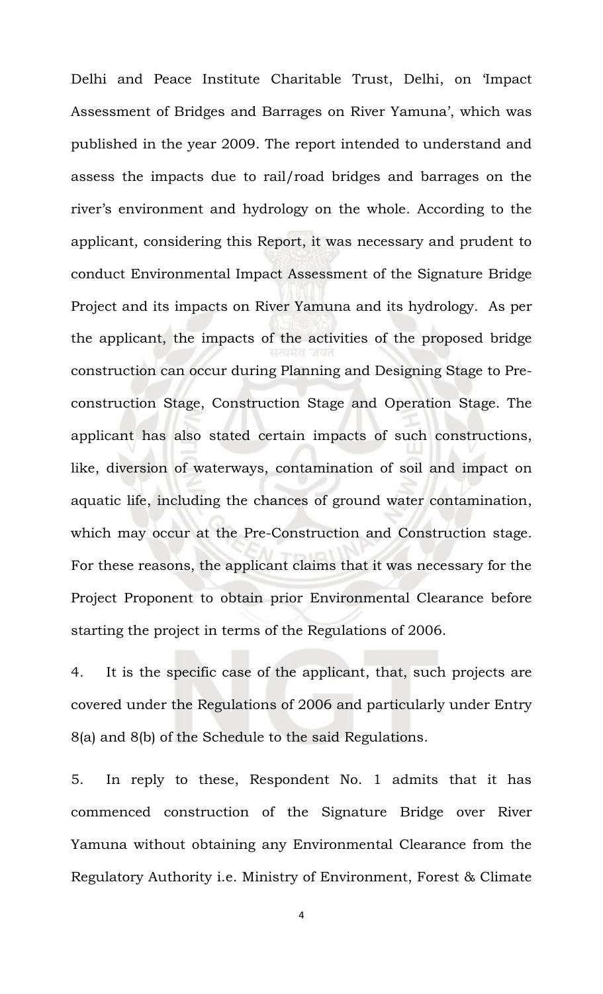Delhi and Peace Institute Charitable Trust, Delhi, on 'Impact Assessment of Bridges and Barrages on River Yamuna', which was published in the year 2009. The report intended to understand and assess the impacts due to rail/road bridges and barrages on the river's environment and hydrology on the whole. According to the applicant, considering this Report, it was necessary and prudent to conduct Environmental Impact Assessment of the Signature Bridge Project and its impacts on River Yamuna and its hydrology. As per the applicant, the impacts of the activities of the proposed bridge construction can occur during Planning and Designing Stage to Preconstruction Stage, Construction Stage and Operation Stage. The applicant has also stated certain impacts of such constructions, like, diversion of waterways, contamination of soil and impact on aquatic life, including the chances of ground water contamination, which may occur at the Pre-Construction and Construction stage. For these reasons, the applicant claims that it was necessary for the Project Proponent to obtain prior Environmental Clearance before starting the project in terms of the Regulations of 2006.

4. It is the specific case of the applicant, that, such projects are covered under the Regulations of 2006 and particularly under Entry 8(a) and 8(b) of the Schedule to the said Regulations.

5. In reply to these, Respondent No. 1 admits that it has commenced construction of the Signature Bridge over River Yamuna without obtaining any Environmental Clearance from the Regulatory Authority i.e. Ministry of Environment, Forest & Climate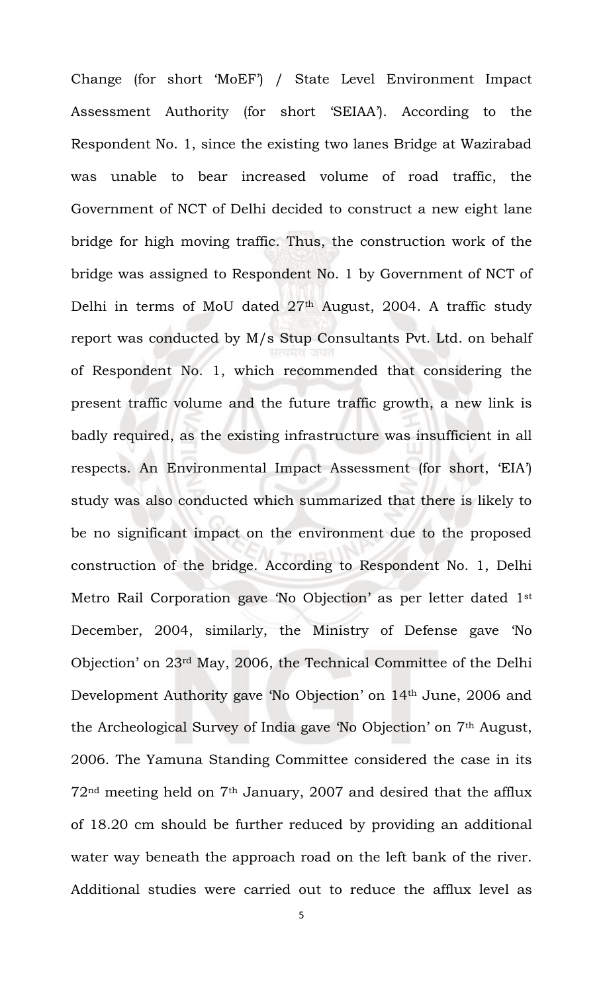Change (for short 'MoEF') / State Level Environment Impact Assessment Authority (for short 'SEIAA'). According to the Respondent No. 1, since the existing two lanes Bridge at Wazirabad was unable to bear increased volume of road traffic, the Government of NCT of Delhi decided to construct a new eight lane bridge for high moving traffic. Thus, the construction work of the bridge was assigned to Respondent No. 1 by Government of NCT of Delhi in terms of MoU dated 27<sup>th</sup> August, 2004. A traffic study report was conducted by M/s Stup Consultants Pvt. Ltd. on behalf of Respondent No. 1, which recommended that considering the present traffic volume and the future traffic growth, a new link is badly required, as the existing infrastructure was insufficient in all respects. An Environmental Impact Assessment (for short, 'EIA') study was also conducted which summarized that there is likely to be no significant impact on the environment due to the proposed construction of the bridge. According to Respondent No. 1, Delhi Metro Rail Corporation gave 'No Objection' as per letter dated 1st December, 2004, similarly, the Ministry of Defense gave 'No Objection' on 23rd May, 2006, the Technical Committee of the Delhi Development Authority gave 'No Objection' on 14th June, 2006 and the Archeological Survey of India gave 'No Objection' on 7th August, 2006. The Yamuna Standing Committee considered the case in its  $72<sup>nd</sup>$  meeting held on  $7<sup>th</sup>$  January, 2007 and desired that the afflux of 18.20 cm should be further reduced by providing an additional water way beneath the approach road on the left bank of the river. Additional studies were carried out to reduce the afflux level as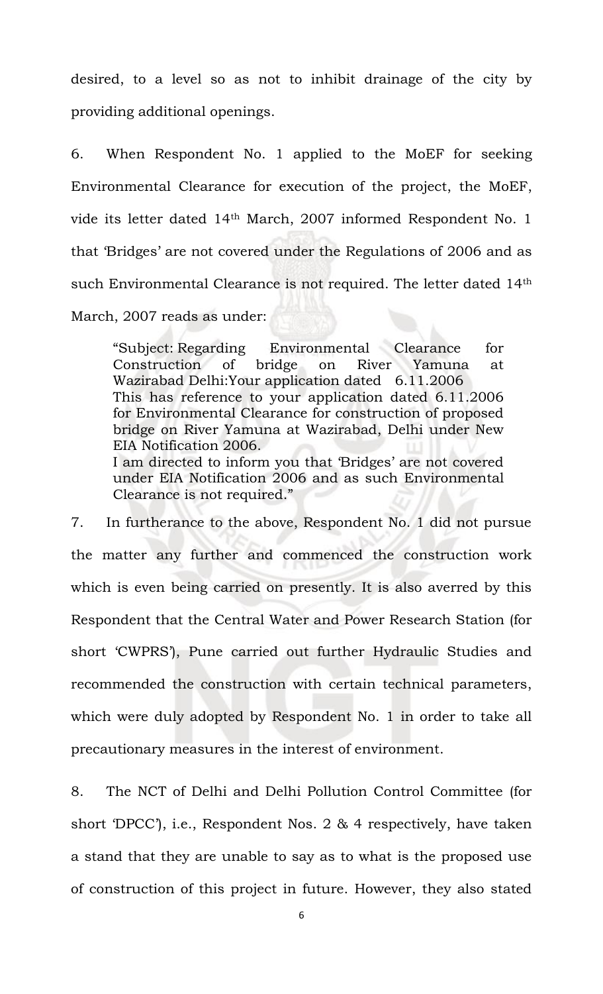desired, to a level so as not to inhibit drainage of the city by providing additional openings.

6. When Respondent No. 1 applied to the MoEF for seeking Environmental Clearance for execution of the project, the MoEF, vide its letter dated 14th March, 2007 informed Respondent No. 1 that 'Bridges' are not covered under the Regulations of 2006 and as such Environmental Clearance is not required. The letter dated 14th March, 2007 reads as under:

"Subject: Regarding Environmental Clearance for Construction of bridge on River Yamuna at Wazirabad Delhi:Your application dated 6.11.2006 This has reference to your application dated 6.11.2006 for Environmental Clearance for construction of proposed bridge on River Yamuna at Wazirabad, Delhi under New EIA Notification 2006. I am directed to inform you that 'Bridges' are not covered under EIA Notification 2006 and as such Environmental Clearance is not required."

7. In furtherance to the above, Respondent No. 1 did not pursue the matter any further and commenced the construction work which is even being carried on presently. It is also averred by this Respondent that the Central Water and Power Research Station (for short 'CWPRS'), Pune carried out further Hydraulic Studies and recommended the construction with certain technical parameters, which were duly adopted by Respondent No. 1 in order to take all precautionary measures in the interest of environment.

8. The NCT of Delhi and Delhi Pollution Control Committee (for short 'DPCC'), i.e., Respondent Nos. 2 & 4 respectively, have taken a stand that they are unable to say as to what is the proposed use of construction of this project in future. However, they also stated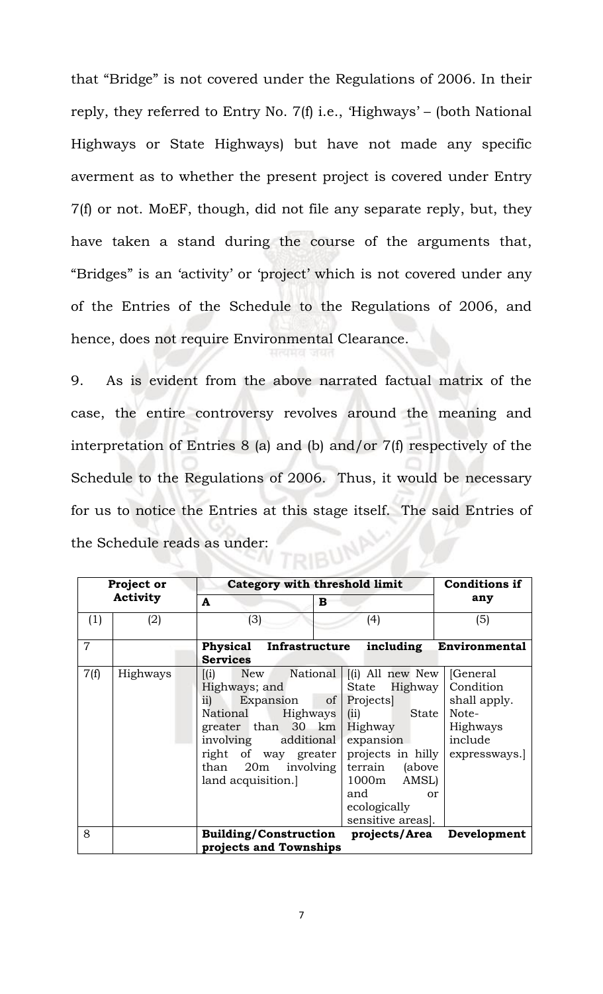that "Bridge" is not covered under the Regulations of 2006. In their reply, they referred to Entry No. 7(f) i.e., 'Highways' – (both National Highways or State Highways) but have not made any specific averment as to whether the present project is covered under Entry 7(f) or not. MoEF, though, did not file any separate reply, but, they have taken a stand during the course of the arguments that, "Bridges" is an 'activity' or 'project' which is not covered under any of the Entries of the Schedule to the Regulations of 2006, and hence, does not require Environmental Clearance.

9. As is evident from the above narrated factual matrix of the case, the entire controversy revolves around the meaning and interpretation of Entries 8 (a) and (b) and/or 7(f) respectively of the Schedule to the Regulations of 2006. Thus, it would be necessary for us to notice the Entries at this stage itself. The said Entries of the Schedule reads as under: **UBUNP** 

| Project or<br><b>Activity</b> |          | Category with threshold limit                                                                                                                                                                                                                                                                     |                                                                                                                                                | <b>Conditions if</b>                                                                                |
|-------------------------------|----------|---------------------------------------------------------------------------------------------------------------------------------------------------------------------------------------------------------------------------------------------------------------------------------------------------|------------------------------------------------------------------------------------------------------------------------------------------------|-----------------------------------------------------------------------------------------------------|
|                               |          | A<br>В                                                                                                                                                                                                                                                                                            |                                                                                                                                                | any                                                                                                 |
| (1)                           | (2)      | (3)                                                                                                                                                                                                                                                                                               | (4)                                                                                                                                            | (5)                                                                                                 |
| $\overline{7}$                |          | <b>Physical Infrastructure</b><br><b>Services</b>                                                                                                                                                                                                                                                 |                                                                                                                                                | including Environmental                                                                             |
| 7(f)                          | Highways | National   [(i) All new New   [General<br>$\left[ \mathrm{(i)}\right]$<br>New<br>Highways; and<br>of<br>$\overline{11}$<br>Expansion<br>National<br>Highways<br>greater than $30 \text{ km}$<br>involving additional<br>right of way greater<br>than 20m<br>involving<br>land acquisition.<br>and | State Highway<br>Projects<br>(ii) State<br>Highway<br>expansion<br>terrain<br>(above<br>1000m AMSL)<br>or<br>ecologically<br>sensitive areas]. | Condition<br>shall apply.<br>Note-<br>Highways<br>include<br>projects in hilly $\vert$ expressways. |
| 8                             |          | Building/Construction projects/Area Development<br>projects and Townships                                                                                                                                                                                                                         |                                                                                                                                                |                                                                                                     |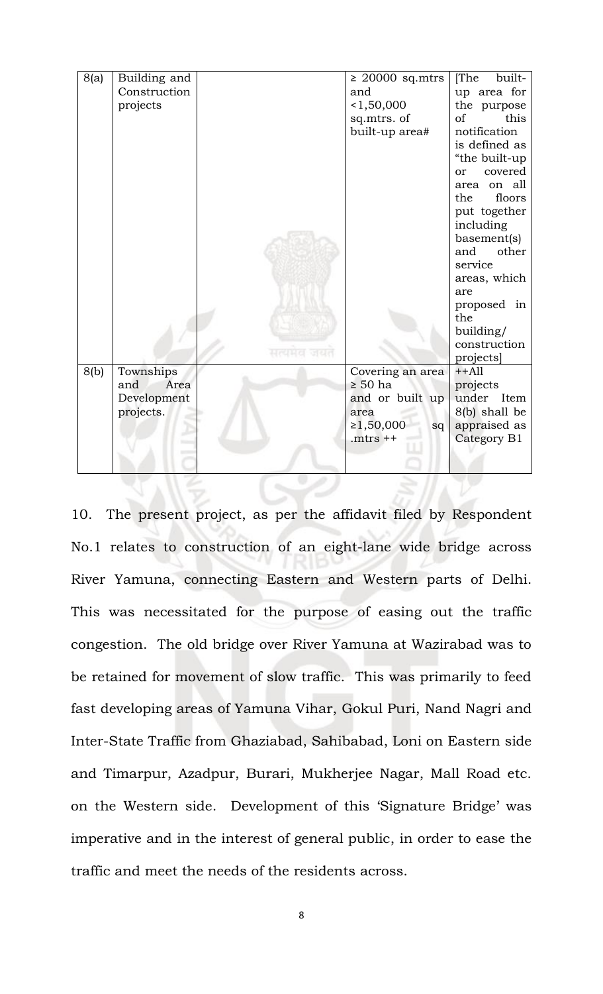| 8(a) | Building and |            | $\geq 20000$ sq.mtrs | [The<br>built-     |
|------|--------------|------------|----------------------|--------------------|
|      | Construction |            | and                  | up area for        |
|      | projects     |            | < 1,50,000           | the purpose        |
|      |              |            | sq.mtrs. of          | this<br>of         |
|      |              |            | built-up area#       | notification       |
|      |              |            |                      | is defined as      |
|      |              |            |                      | "the built-up      |
|      |              |            |                      | covered<br>or      |
|      |              |            |                      | area on all        |
|      |              |            |                      | the<br>floors      |
|      |              |            |                      | put together       |
|      |              |            |                      | including          |
|      |              |            |                      | basement(s)        |
|      |              |            |                      | and<br>other       |
|      |              |            |                      | service            |
|      |              |            |                      | areas, which       |
|      |              |            |                      | are                |
|      |              |            |                      | proposed in<br>the |
|      |              |            |                      | building/          |
|      |              |            |                      | construction       |
|      |              | सत्यमय जयत |                      | projects]          |
| 8(b) | Townships    |            | Covering an area     | $++All$            |
|      | Area<br>and  |            | $\geq 50$ ha         | projects           |
|      | Development  |            | and or built up      | under Item         |
|      | projects.    |            | area                 | 8(b) shall be      |
|      |              |            | ≥1,50,000<br>sq      | appraised as       |
|      |              |            | . $m$ trs $++$       | Category B1        |
|      |              |            |                      |                    |
|      |              |            |                      |                    |

10. The present project, as per the affidavit filed by Respondent No.1 relates to construction of an eight-lane wide bridge across River Yamuna, connecting Eastern and Western parts of Delhi. This was necessitated for the purpose of easing out the traffic congestion. The old bridge over River Yamuna at Wazirabad was to be retained for movement of slow traffic. This was primarily to feed fast developing areas of Yamuna Vihar, Gokul Puri, Nand Nagri and Inter-State Traffic from Ghaziabad, Sahibabad, Loni on Eastern side and Timarpur, Azadpur, Burari, Mukherjee Nagar, Mall Road etc. on the Western side. Development of this 'Signature Bridge' was imperative and in the interest of general public, in order to ease the traffic and meet the needs of the residents across.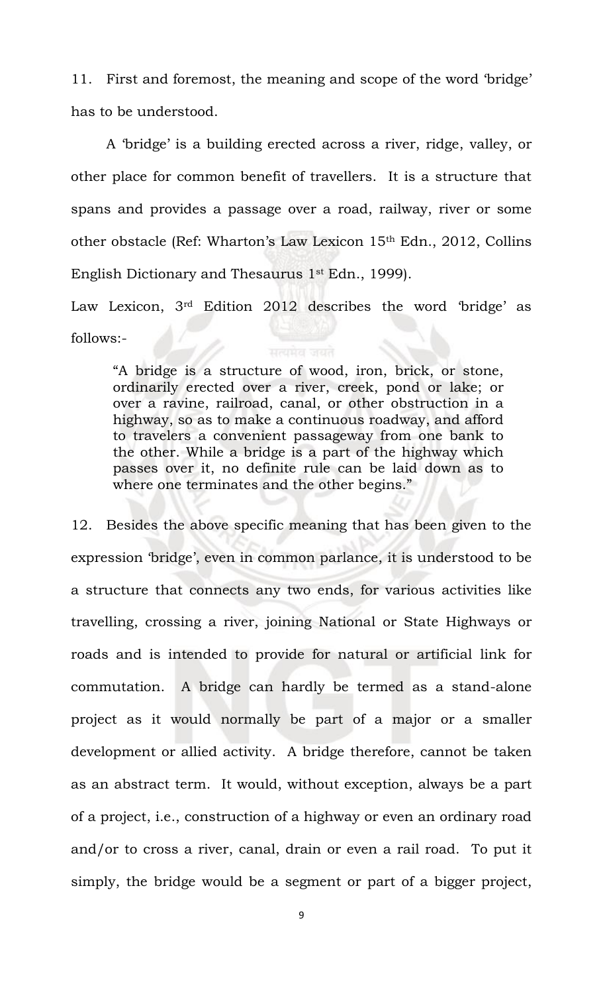11. First and foremost, the meaning and scope of the word 'bridge' has to be understood.

A 'bridge' is a building erected across a river, ridge, valley, or other place for common benefit of travellers. It is a structure that spans and provides a passage over a road, railway, river or some other obstacle (Ref: Wharton's Law Lexicon 15th Edn., 2012, Collins English Dictionary and Thesaurus 1st Edn., 1999).

Law Lexicon, 3rd Edition 2012 describes the word 'bridge' as follows:-

"A bridge is a structure of wood, iron, brick, or stone, ordinarily erected over a river, creek, pond or lake; or over a ravine, railroad, canal, or other obstruction in a highway, so as to make a continuous roadway, and afford to travelers a convenient passageway from one bank to the other. While a bridge is a part of the highway which passes over it, no definite rule can be laid down as to where one terminates and the other begins."

12. Besides the above specific meaning that has been given to the expression 'bridge', even in common parlance, it is understood to be a structure that connects any two ends, for various activities like travelling, crossing a river, joining National or State Highways or roads and is intended to provide for natural or artificial link for commutation. A bridge can hardly be termed as a stand-alone project as it would normally be part of a major or a smaller development or allied activity. A bridge therefore, cannot be taken as an abstract term. It would, without exception, always be a part of a project, i.e., construction of a highway or even an ordinary road and/or to cross a river, canal, drain or even a rail road. To put it simply, the bridge would be a segment or part of a bigger project,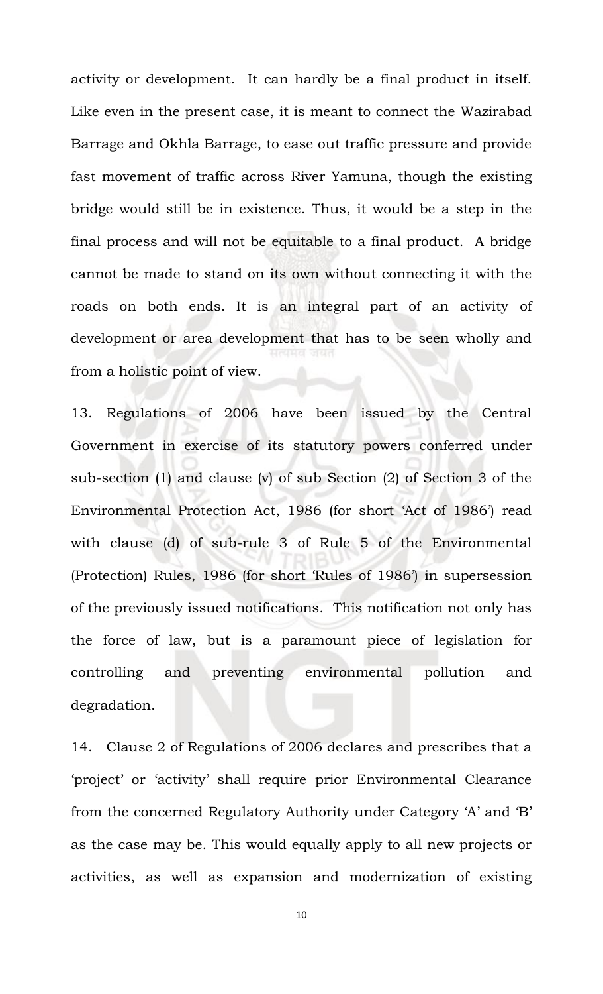activity or development. It can hardly be a final product in itself. Like even in the present case, it is meant to connect the Wazirabad Barrage and Okhla Barrage, to ease out traffic pressure and provide fast movement of traffic across River Yamuna, though the existing bridge would still be in existence. Thus, it would be a step in the final process and will not be equitable to a final product. A bridge cannot be made to stand on its own without connecting it with the roads on both ends. It is an integral part of an activity of development or area development that has to be seen wholly and from a holistic point of view.

13. Regulations of 2006 have been issued by the Central Government in exercise of its statutory powers conferred under sub-section (1) and clause (v) of sub Section (2) of Section 3 of the Environmental Protection Act, 1986 (for short 'Act of 1986') read with clause (d) of sub-rule 3 of Rule 5 of the Environmental (Protection) Rules, 1986 (for short 'Rules of 1986') in supersession of the previously issued notifications. This notification not only has the force of law, but is a paramount piece of legislation for controlling and preventing environmental pollution and degradation.

14. Clause 2 of Regulations of 2006 declares and prescribes that a 'project' or 'activity' shall require prior Environmental Clearance from the concerned Regulatory Authority under Category 'A' and 'B' as the case may be. This would equally apply to all new projects or activities, as well as expansion and modernization of existing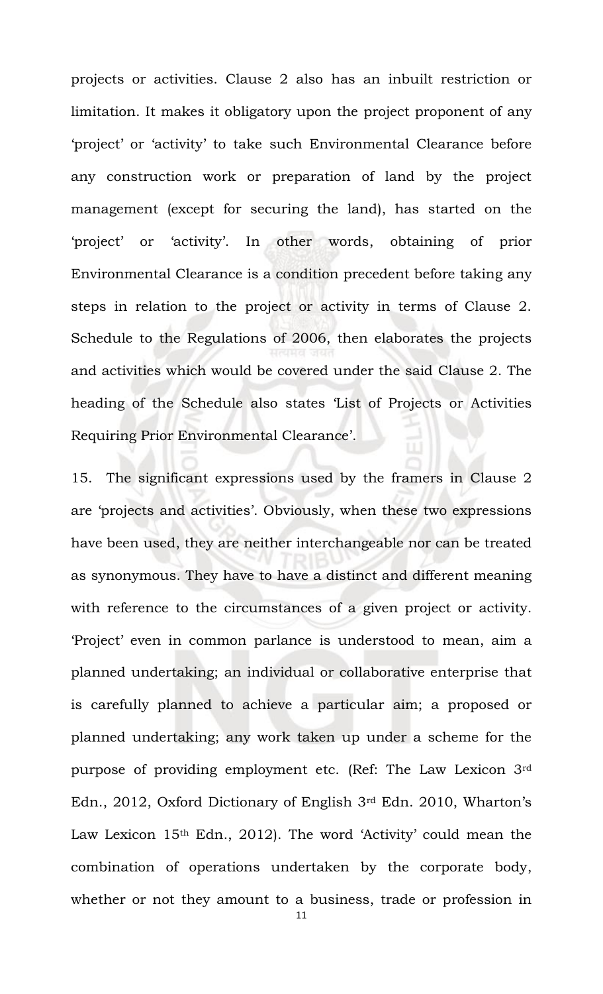projects or activities. Clause 2 also has an inbuilt restriction or limitation. It makes it obligatory upon the project proponent of any 'project' or 'activity' to take such Environmental Clearance before any construction work or preparation of land by the project management (except for securing the land), has started on the 'project' or 'activity'. In other words, obtaining of prior Environmental Clearance is a condition precedent before taking any steps in relation to the project or activity in terms of Clause 2. Schedule to the Regulations of 2006, then elaborates the projects and activities which would be covered under the said Clause 2. The heading of the Schedule also states 'List of Projects or Activities Requiring Prior Environmental Clearance'.

15. The significant expressions used by the framers in Clause 2 are 'projects and activities'. Obviously, when these two expressions have been used, they are neither interchangeable nor can be treated as synonymous. They have to have a distinct and different meaning with reference to the circumstances of a given project or activity. 'Project' even in common parlance is understood to mean, aim a planned undertaking; an individual or collaborative enterprise that is carefully planned to achieve a particular aim; a proposed or planned undertaking; any work taken up under a scheme for the purpose of providing employment etc. (Ref: The Law Lexicon 3rd Edn., 2012, Oxford Dictionary of English 3rd Edn. 2010, Wharton's Law Lexicon 15<sup>th</sup> Edn., 2012). The word 'Activity' could mean the combination of operations undertaken by the corporate body, whether or not they amount to a business, trade or profession in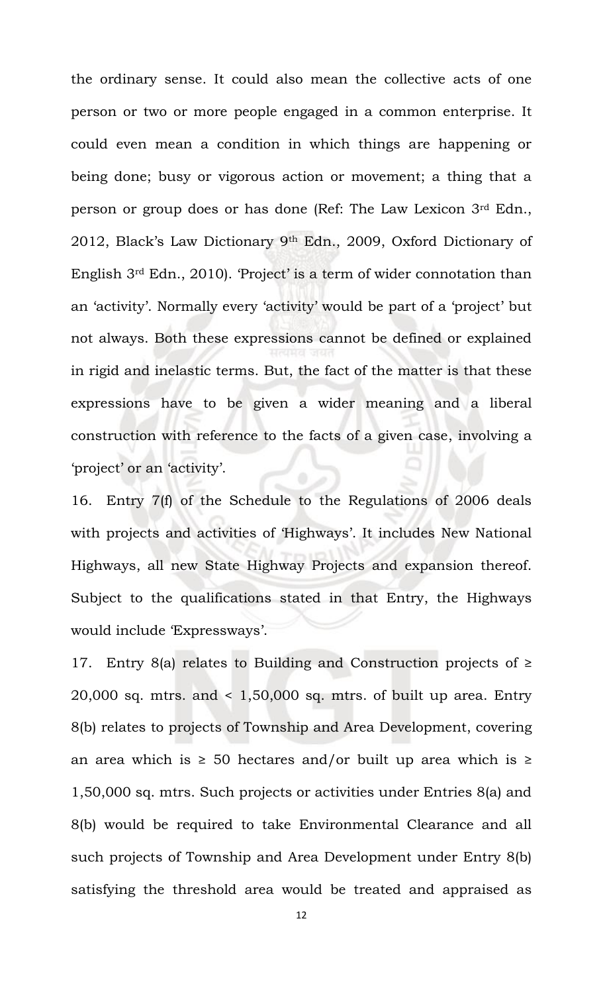the ordinary sense. It could also mean the collective acts of one person or two or more people engaged in a common enterprise. It could even mean a condition in which things are happening or being done; busy or vigorous action or movement; a thing that a person or group does or has done (Ref: The Law Lexicon 3rd Edn., 2012, Black's Law Dictionary 9th Edn., 2009, Oxford Dictionary of English 3rd Edn., 2010). 'Project' is a term of wider connotation than an 'activity'. Normally every 'activity' would be part of a 'project' but not always. Both these expressions cannot be defined or explained in rigid and inelastic terms. But, the fact of the matter is that these expressions have to be given a wider meaning and a liberal construction with reference to the facts of a given case, involving a 'project' or an 'activity'.

16. Entry 7(f) of the Schedule to the Regulations of 2006 deals with projects and activities of 'Highways'. It includes New National Highways, all new State Highway Projects and expansion thereof. Subject to the qualifications stated in that Entry, the Highways would include 'Expressways'.

17. Entry 8(a) relates to Building and Construction projects of  $\geq$ 20,000 sq. mtrs. and  $\leq 1,50,000$  sq. mtrs. of built up area. Entry 8(b) relates to projects of Township and Area Development, covering an area which is  $\geq$  50 hectares and/or built up area which is  $\geq$ 1,50,000 sq. mtrs. Such projects or activities under Entries 8(a) and 8(b) would be required to take Environmental Clearance and all such projects of Township and Area Development under Entry 8(b) satisfying the threshold area would be treated and appraised as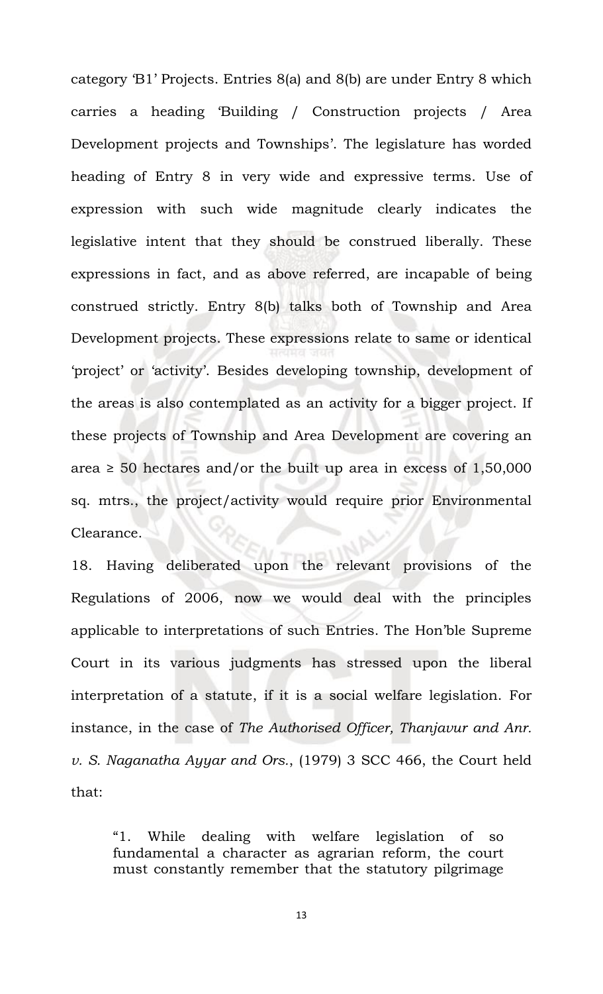category 'B1' Projects. Entries 8(a) and 8(b) are under Entry 8 which carries a heading 'Building / Construction projects / Area Development projects and Townships'. The legislature has worded heading of Entry 8 in very wide and expressive terms. Use of expression with such wide magnitude clearly indicates the legislative intent that they should be construed liberally. These expressions in fact, and as above referred, are incapable of being construed strictly. Entry 8(b) talks both of Township and Area Development projects. These expressions relate to same or identical 'project' or 'activity'. Besides developing township, development of the areas is also contemplated as an activity for a bigger project. If these projects of Township and Area Development are covering an area  $\geq$  50 hectares and/or the built up area in excess of 1,50,000 sq. mtrs., the project/activity would require prior Environmental Clearance.

18. Having deliberated upon the relevant provisions of the Regulations of 2006, now we would deal with the principles applicable to interpretations of such Entries. The Hon'ble Supreme Court in its various judgments has stressed upon the liberal interpretation of a statute, if it is a social welfare legislation. For instance, in the case of *The Authorised Officer, Thanjavur and Anr. v. S. Naganatha Ayyar and Ors.*, (1979) 3 SCC 466, the Court held that:

"1. While dealing with welfare legislation of so fundamental a character as agrarian reform, the court must constantly remember that the statutory pilgrimage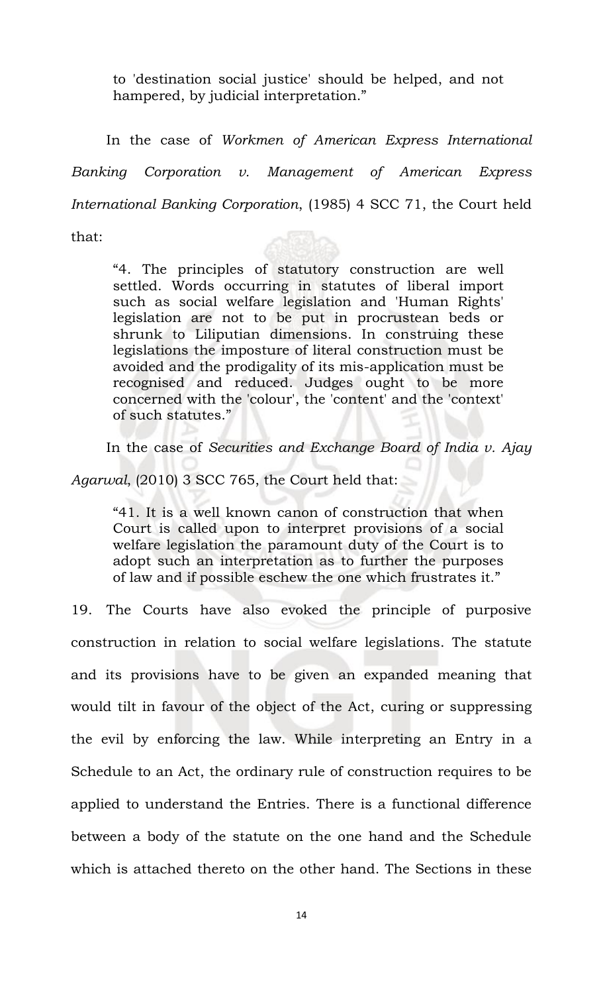to 'destination social justice' should be helped, and not hampered, by judicial interpretation."

In the case of *Workmen of American Express International Banking Corporation v. Management of American Express International Banking Corporation*, (1985) 4 SCC 71, the Court held

that:

"4. The principles of statutory construction are well settled. Words occurring in statutes of liberal import such as social welfare legislation and 'Human Rights' legislation are not to be put in procrustean beds or shrunk to Liliputian dimensions. In construing these legislations the imposture of literal construction must be avoided and the prodigality of its mis-application must be recognised and reduced. Judges ought to be more concerned with the 'colour', the 'content' and the 'context' of such statutes."

In the case of *Securities and Exchange Board of India v. Ajay* 

*Agarwal*, (2010) 3 SCC 765, the Court held that:

"41. It is a well known canon of construction that when Court is called upon to interpret provisions of a social welfare legislation the paramount duty of the Court is to adopt such an interpretation as to further the purposes of law and if possible eschew the one which frustrates it."

19. The Courts have also evoked the principle of purposive construction in relation to social welfare legislations. The statute and its provisions have to be given an expanded meaning that would tilt in favour of the object of the Act, curing or suppressing the evil by enforcing the law. While interpreting an Entry in a Schedule to an Act, the ordinary rule of construction requires to be applied to understand the Entries. There is a functional difference between a body of the statute on the one hand and the Schedule which is attached thereto on the other hand. The Sections in these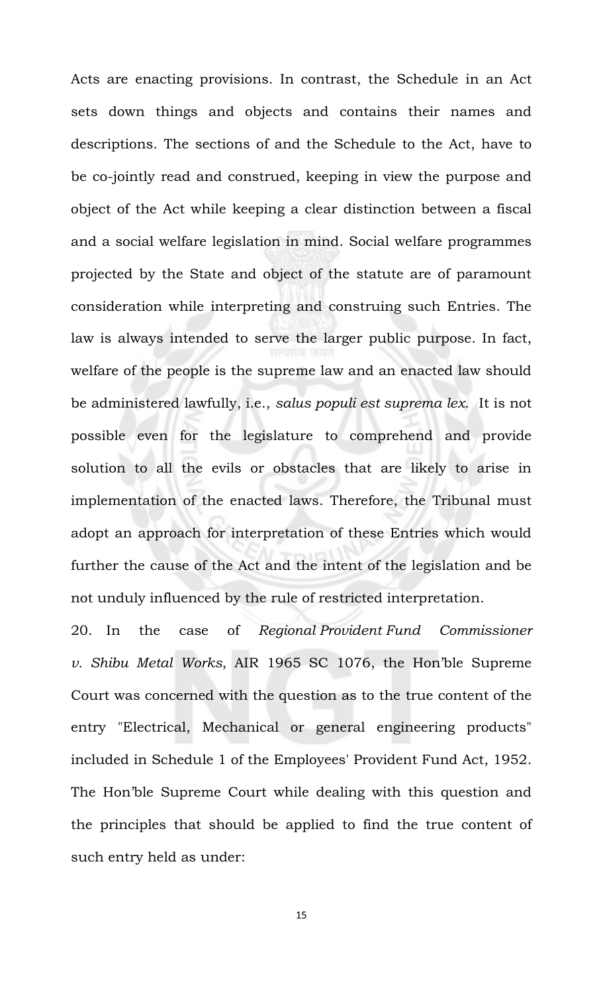Acts are enacting provisions. In contrast, the Schedule in an Act sets down things and objects and contains their names and descriptions. The sections of and the Schedule to the Act, have to be co-jointly read and construed, keeping in view the purpose and object of the Act while keeping a clear distinction between a fiscal and a social welfare legislation in mind. Social welfare programmes projected by the State and object of the statute are of paramount consideration while interpreting and construing such Entries. The law is always intended to serve the larger public purpose. In fact, welfare of the people is the supreme law and an enacted law should be administered lawfully, i.e., *salus populi est suprema lex*. It is not possible even for the legislature to comprehend and provide solution to all the evils or obstacles that are likely to arise in implementation of the enacted laws. Therefore, the Tribunal must adopt an approach for interpretation of these Entries which would further the cause of the Act and the intent of the legislation and be not unduly influenced by the rule of restricted interpretation.

20. In the case of *Regional Provident Fund Commissioner v. Shibu Metal Works*, AIR 1965 SC 1076, the Hon'ble Supreme Court was concerned with the question as to the true content of the entry "Electrical, Mechanical or general engineering products" included in Schedule 1 of the Employees' Provident Fund Act, 1952. The Hon'ble Supreme Court while dealing with this question and the principles that should be applied to find the true content of such entry held as under: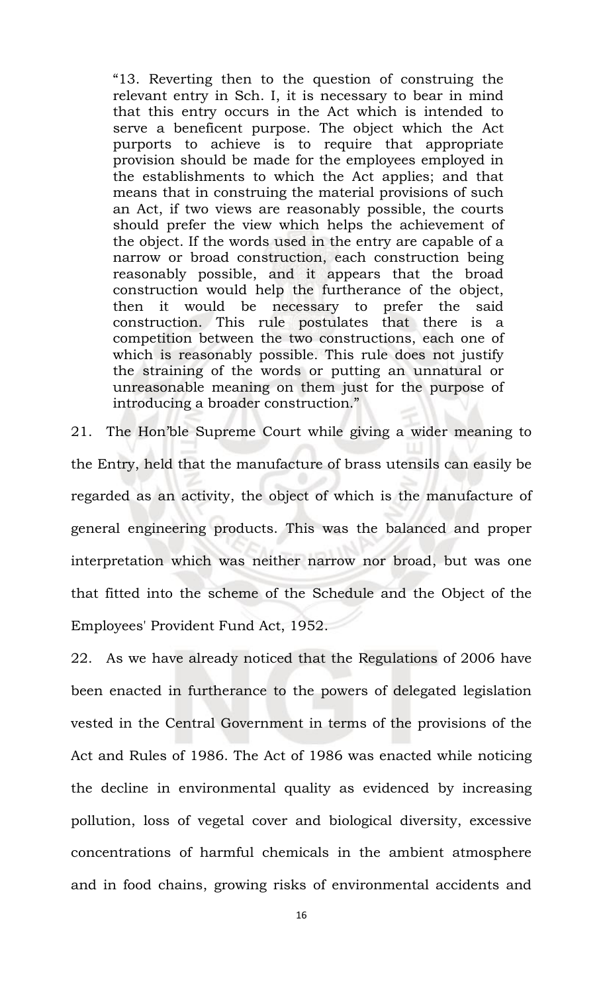"13. Reverting then to the question of construing the relevant entry in Sch. I, it is necessary to bear in mind that this entry occurs in the Act which is intended to serve a beneficent purpose. The object which the Act purports to achieve is to require that appropriate provision should be made for the employees employed in the establishments to which the Act applies; and that means that in construing the material provisions of such an Act, if two views are reasonably possible, the courts should prefer the view which helps the achievement of the object. If the words used in the entry are capable of a narrow or broad construction, each construction being reasonably possible, and it appears that the broad construction would help the furtherance of the object, then it would be necessary to prefer the said construction. This rule postulates that there is a competition between the two constructions, each one of which is reasonably possible. This rule does not justify the straining of the words or putting an unnatural or unreasonable meaning on them just for the purpose of introducing a broader construction."

21. The Hon'ble Supreme Court while giving a wider meaning to the Entry, held that the manufacture of brass utensils can easily be regarded as an activity, the object of which is the manufacture of general engineering products. This was the balanced and proper interpretation which was neither narrow nor broad, but was one that fitted into the scheme of the Schedule and the Object of the Employees' Provident Fund Act, 1952.

22. As we have already noticed that the Regulations of 2006 have been enacted in furtherance to the powers of delegated legislation vested in the Central Government in terms of the provisions of the Act and Rules of 1986. The Act of 1986 was enacted while noticing the decline in environmental quality as evidenced by increasing pollution, loss of vegetal cover and biological diversity, excessive concentrations of harmful chemicals in the ambient atmosphere and in food chains, growing risks of environmental accidents and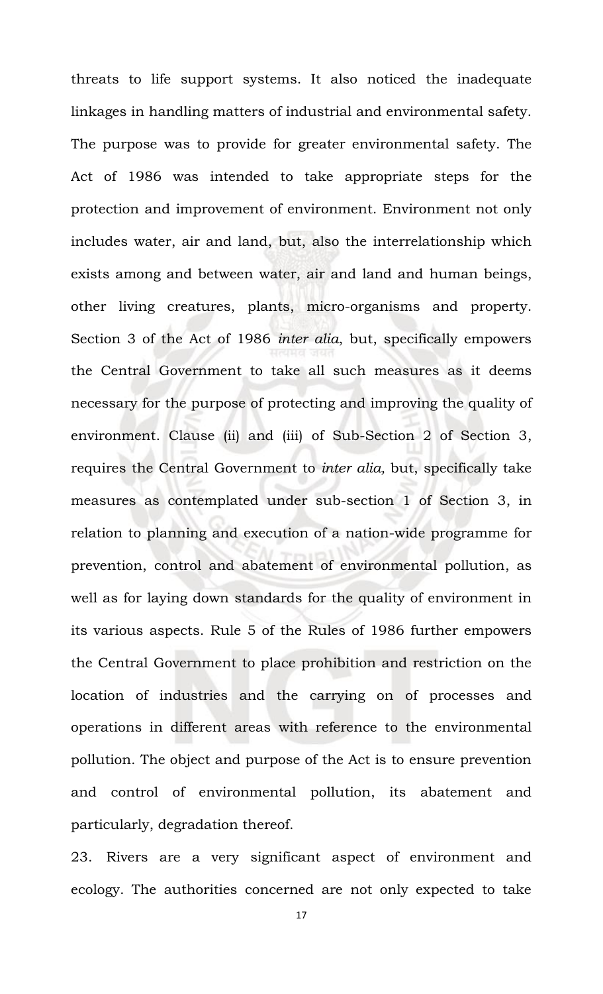threats to life support systems. It also noticed the inadequate linkages in handling matters of industrial and environmental safety. The purpose was to provide for greater environmental safety. The Act of 1986 was intended to take appropriate steps for the protection and improvement of environment. Environment not only includes water, air and land, but, also the interrelationship which exists among and between water, air and land and human beings, other living creatures, plants, micro-organisms and property. Section 3 of the Act of 1986 *inter alia*, but, specifically empowers the Central Government to take all such measures as it deems necessary for the purpose of protecting and improving the quality of environment. Clause (ii) and (iii) of Sub-Section 2 of Section 3, requires the Central Government to *inter alia,* but, specifically take measures as contemplated under sub-section 1 of Section 3, in relation to planning and execution of a nation-wide programme for prevention, control and abatement of environmental pollution, as well as for laying down standards for the quality of environment in its various aspects. Rule 5 of the Rules of 1986 further empowers the Central Government to place prohibition and restriction on the location of industries and the carrying on of processes and operations in different areas with reference to the environmental pollution. The object and purpose of the Act is to ensure prevention and control of environmental pollution, its abatement and particularly, degradation thereof.

23. Rivers are a very significant aspect of environment and ecology. The authorities concerned are not only expected to take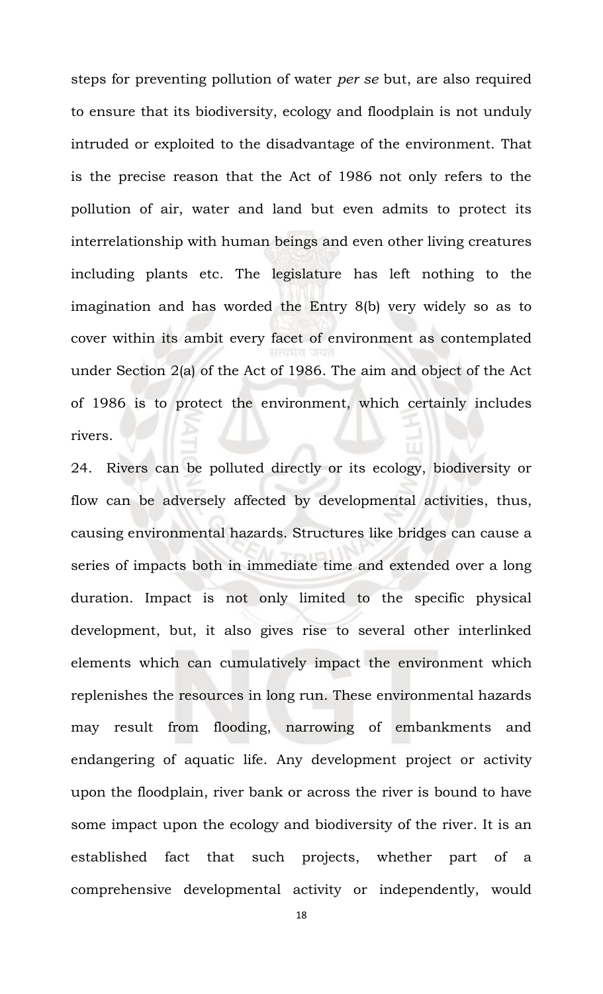steps for preventing pollution of water *per se* but, are also required to ensure that its biodiversity, ecology and floodplain is not unduly intruded or exploited to the disadvantage of the environment. That is the precise reason that the Act of 1986 not only refers to the pollution of air, water and land but even admits to protect its interrelationship with human beings and even other living creatures including plants etc. The legislature has left nothing to the imagination and has worded the Entry 8(b) very widely so as to cover within its ambit every facet of environment as contemplated under Section 2(a) of the Act of 1986. The aim and object of the Act of 1986 is to protect the environment, which certainly includes rivers.

24. Rivers can be polluted directly or its ecology, biodiversity or flow can be adversely affected by developmental activities, thus, causing environmental hazards. Structures like bridges can cause a series of impacts both in immediate time and extended over a long duration. Impact is not only limited to the specific physical development, but, it also gives rise to several other interlinked elements which can cumulatively impact the environment which replenishes the resources in long run. These environmental hazards may result from flooding, narrowing of embankments and endangering of aquatic life. Any development project or activity upon the floodplain, river bank or across the river is bound to have some impact upon the ecology and biodiversity of the river. It is an established fact that such projects, whether part of a comprehensive developmental activity or independently, would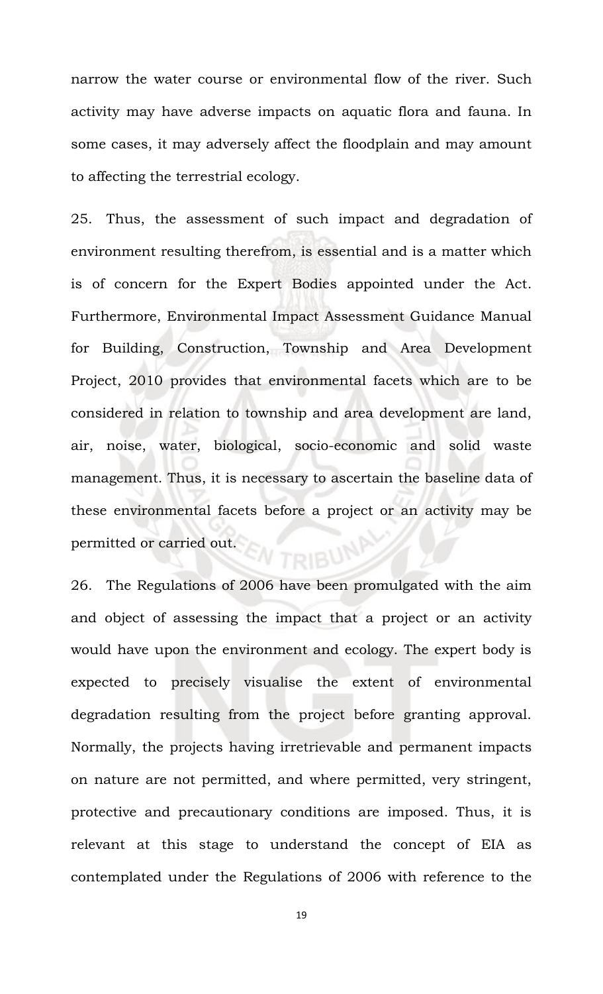narrow the water course or environmental flow of the river. Such activity may have adverse impacts on aquatic flora and fauna. In some cases, it may adversely affect the floodplain and may amount to affecting the terrestrial ecology.

25. Thus, the assessment of such impact and degradation of environment resulting therefrom, is essential and is a matter which is of concern for the Expert Bodies appointed under the Act. Furthermore, Environmental Impact Assessment Guidance Manual for Building, Construction, Township and Area Development Project, 2010 provides that environmental facets which are to be considered in relation to township and area development are land, air, noise, water, biological, socio-economic and solid waste management. Thus, it is necessary to ascertain the baseline data of these environmental facets before a project or an activity may be permitted or carried out.

26. The Regulations of 2006 have been promulgated with the aim and object of assessing the impact that a project or an activity would have upon the environment and ecology. The expert body is expected to precisely visualise the extent of environmental degradation resulting from the project before granting approval. Normally, the projects having irretrievable and permanent impacts on nature are not permitted, and where permitted, very stringent, protective and precautionary conditions are imposed. Thus, it is relevant at this stage to understand the concept of EIA as contemplated under the Regulations of 2006 with reference to the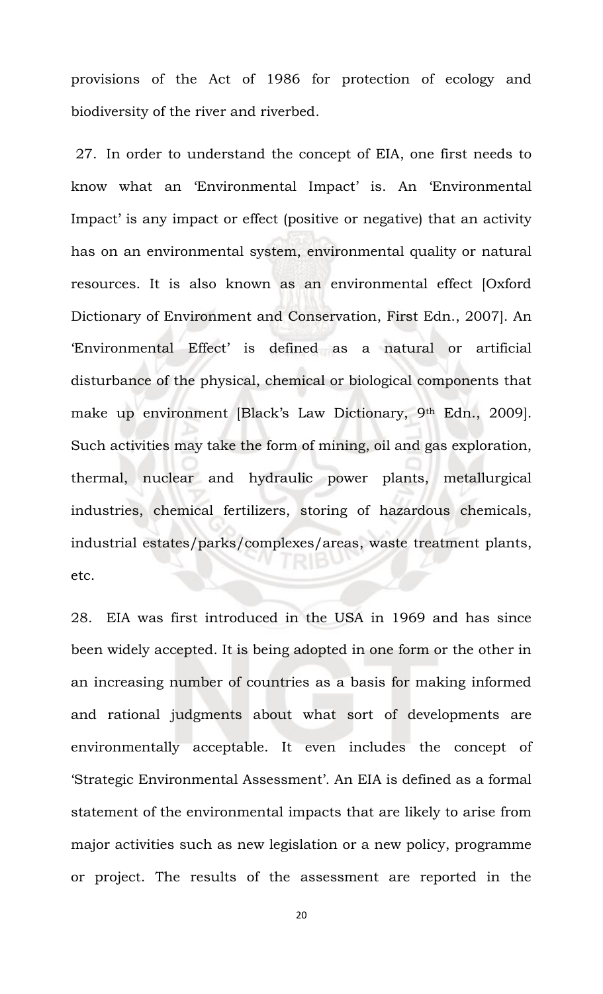provisions of the Act of 1986 for protection of ecology and biodiversity of the river and riverbed.

27. In order to understand the concept of EIA, one first needs to know what an 'Environmental Impact' is. An 'Environmental Impact' is any impact or effect (positive or negative) that an activity has on an environmental system, environmental quality or natural resources. It is also known as an environmental effect [Oxford Dictionary of Environment and Conservation, First Edn., 2007]. An 'Environmental Effect' is defined as a natural or artificial disturbance of the physical, chemical or biological components that make up environment [Black's Law Dictionary, 9th Edn., 2009]. Such activities may take the form of mining, oil and gas exploration, thermal, nuclear and hydraulic power plants, metallurgical industries, chemical fertilizers, storing of hazardous chemicals, industrial estates/parks/complexes/areas, waste treatment plants, etc.

28. EIA was first introduced in the USA in 1969 and has since been widely accepted. It is being adopted in one form or the other in an increasing number of countries as a basis for making informed and rational judgments about what sort of developments are environmentally acceptable. It even includes the concept of 'Strategic Environmental Assessment'. An EIA is defined as a formal statement of the environmental impacts that are likely to arise from major activities such as new legislation or a new policy, programme or project. The results of the assessment are reported in the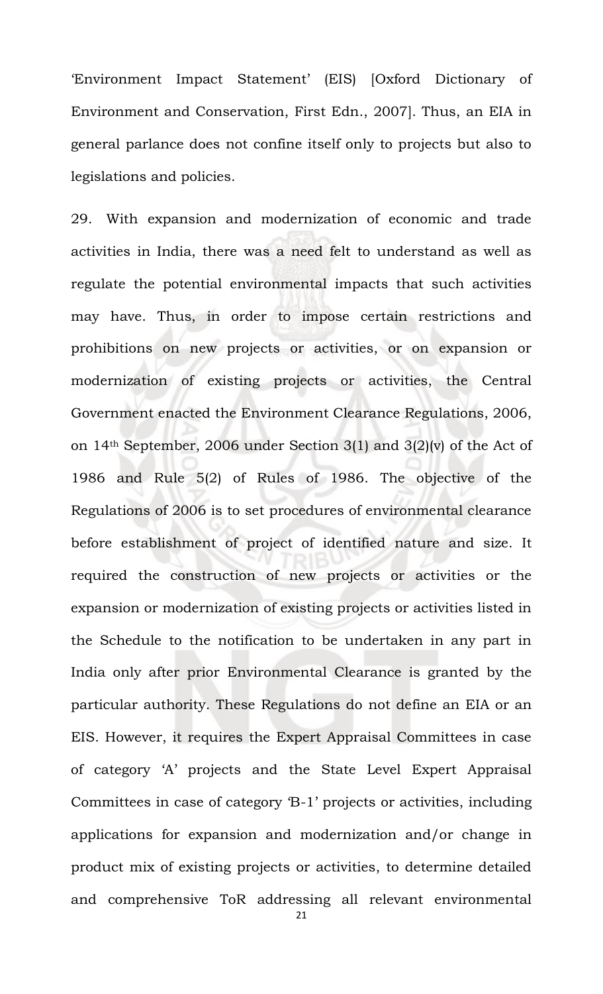'Environment Impact Statement' (EIS) [Oxford Dictionary of Environment and Conservation, First Edn., 2007]. Thus, an EIA in general parlance does not confine itself only to projects but also to legislations and policies.

29. With expansion and modernization of economic and trade activities in India, there was a need felt to understand as well as regulate the potential environmental impacts that such activities may have. Thus, in order to impose certain restrictions and prohibitions on new projects or activities, or on expansion or modernization of existing projects or activities, the Central Government enacted the Environment Clearance Regulations, 2006, on 14th September, 2006 under Section 3(1) and 3(2)(v) of the Act of 1986 and Rule 5(2) of Rules of 1986. The objective of the Regulations of 2006 is to set procedures of environmental clearance before establishment of project of identified nature and size. It required the construction of new projects or activities or the expansion or modernization of existing projects or activities listed in the Schedule to the notification to be undertaken in any part in India only after prior Environmental Clearance is granted by the particular authority. These Regulations do not define an EIA or an EIS. However, it requires the Expert Appraisal Committees in case of category 'A' projects and the State Level Expert Appraisal Committees in case of category 'B-1' projects or activities, including applications for expansion and modernization and/or change in product mix of existing projects or activities, to determine detailed and comprehensive ToR addressing all relevant environmental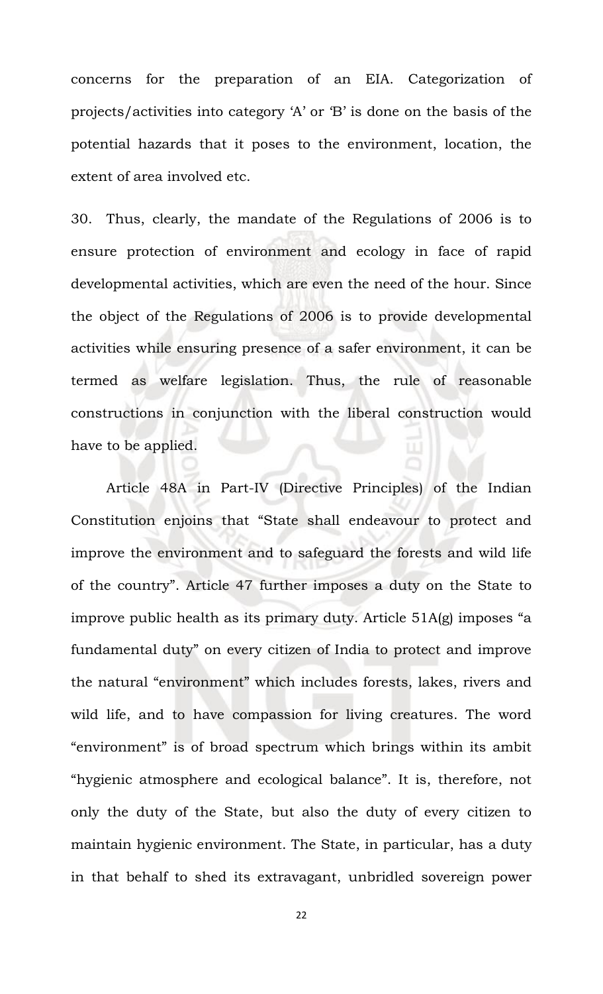concerns for the preparation of an EIA. Categorization of projects/activities into category 'A' or 'B' is done on the basis of the potential hazards that it poses to the environment, location, the extent of area involved etc.

30. Thus, clearly, the mandate of the Regulations of 2006 is to ensure protection of environment and ecology in face of rapid developmental activities, which are even the need of the hour. Since the object of the Regulations of 2006 is to provide developmental activities while ensuring presence of a safer environment, it can be termed as welfare legislation. Thus, the rule of reasonable constructions in conjunction with the liberal construction would have to be applied.

Article 48A in Part-IV (Directive Principles) of the Indian Constitution enjoins that "State shall endeavour to protect and improve the environment and to safeguard the forests and wild life of the country". Article 47 further imposes a duty on the State to improve public health as its primary duty. Article 51A(g) imposes "a fundamental duty" on every citizen of India to protect and improve the natural "environment" which includes forests, lakes, rivers and wild life, and to have compassion for living creatures. The word "environment" is of broad spectrum which brings within its ambit "hygienic atmosphere and ecological balance". It is, therefore, not only the duty of the State, but also the duty of every citizen to maintain hygienic environment. The State, in particular, has a duty in that behalf to shed its extravagant, unbridled sovereign power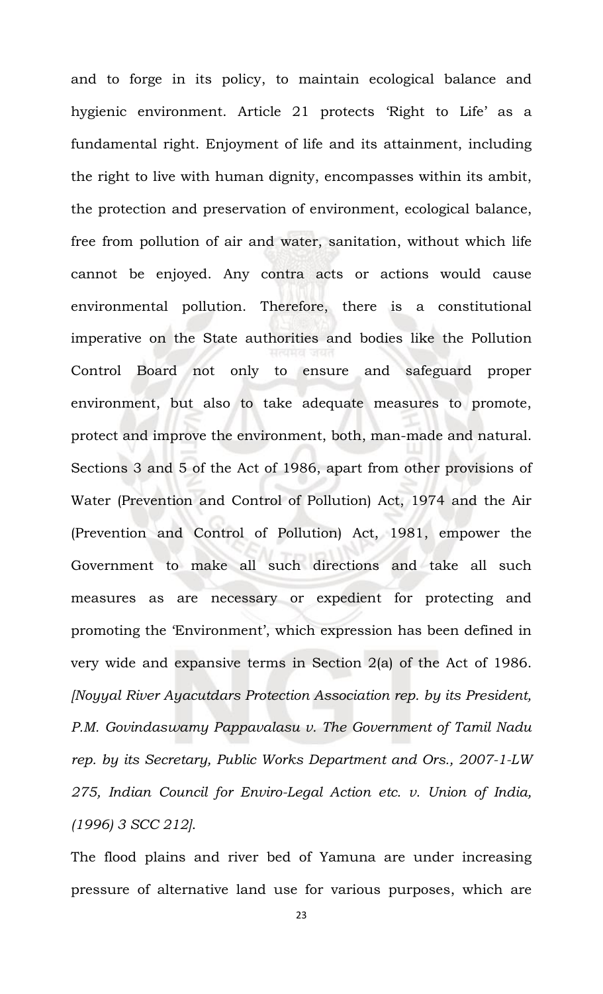and to forge in its policy, to maintain ecological balance and hygienic environment. Article 21 protects 'Right to Life' as a fundamental right. Enjoyment of life and its attainment, including the right to live with human dignity, encompasses within its ambit, the protection and preservation of environment, ecological balance, free from pollution of air and water, sanitation, without which life cannot be enjoyed. Any contra acts or actions would cause environmental pollution. Therefore, there is a constitutional imperative on the State authorities and bodies like the Pollution Control Board not only to ensure and safeguard proper environment, but also to take adequate measures to promote, protect and improve the environment, both, man-made and natural. Sections 3 and 5 of the Act of 1986, apart from other provisions of Water (Prevention and Control of Pollution) Act, 1974 and the Air (Prevention and Control of Pollution) Act, 1981, empower the Government to make all such directions and take all such measures as are necessary or expedient for protecting and promoting the 'Environment', which expression has been defined in very wide and expansive terms in Section 2(a) of the Act of 1986. *[Noyyal River Ayacutdars Protection Association rep. by its President, P.M. Govindaswamy Pappavalasu v. The Government of Tamil Nadu rep. by its Secretary, Public Works Department and Ors., 2007-1-LW 275, Indian Council for Enviro-Legal Action etc. v. Union of India, (1996) 3 SCC 212]*.

The flood plains and river bed of Yamuna are under increasing pressure of alternative land use for various purposes, which are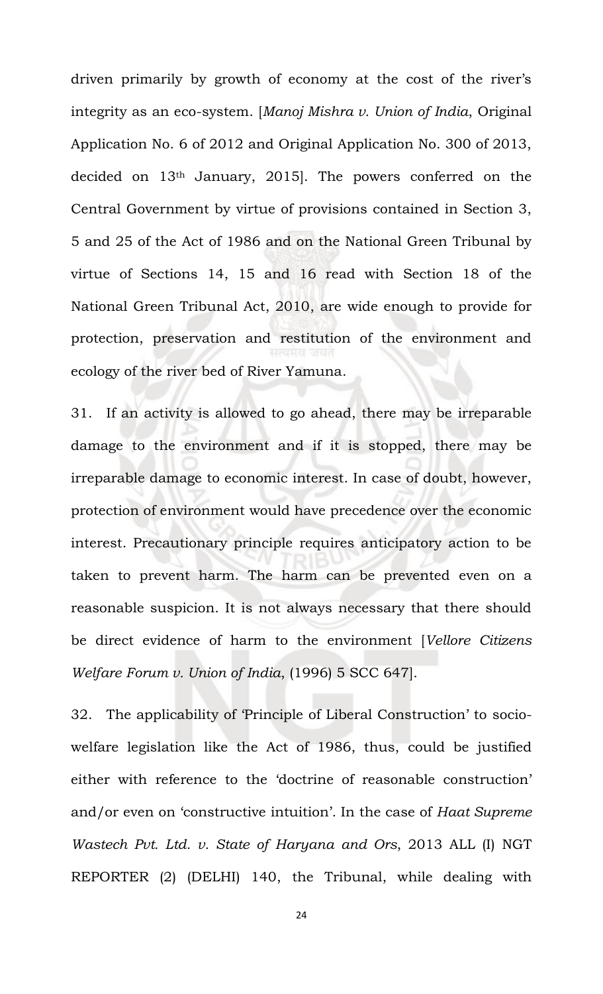driven primarily by growth of economy at the cost of the river's integrity as an eco-system. [*Manoj Mishra v. Union of India*, Original Application No. 6 of 2012 and Original Application No. 300 of 2013, decided on 13th January, 2015]. The powers conferred on the Central Government by virtue of provisions contained in Section 3, 5 and 25 of the Act of 1986 and on the National Green Tribunal by virtue of Sections 14, 15 and 16 read with Section 18 of the National Green Tribunal Act, 2010, are wide enough to provide for protection, preservation and restitution of the environment and ecology of the river bed of River Yamuna.

31. If an activity is allowed to go ahead, there may be irreparable damage to the environment and if it is stopped, there may be irreparable damage to economic interest. In case of doubt, however, protection of environment would have precedence over the economic interest. Precautionary principle requires anticipatory action to be taken to prevent harm. The harm can be prevented even on a reasonable suspicion. It is not always necessary that there should be direct evidence of harm to the environment [*Vellore Citizens Welfare Forum v. Union of India*, (1996) 5 SCC 647].

32. The applicability of 'Principle of Liberal Construction' to sociowelfare legislation like the Act of 1986, thus, could be justified either with reference to the 'doctrine of reasonable construction' and/or even on 'constructive intuition'. In the case of *Haat Supreme Wastech Pvt. Ltd. v. State of Haryana and Ors*, 2013 ALL (I) NGT REPORTER (2) (DELHI) 140, the Tribunal, while dealing with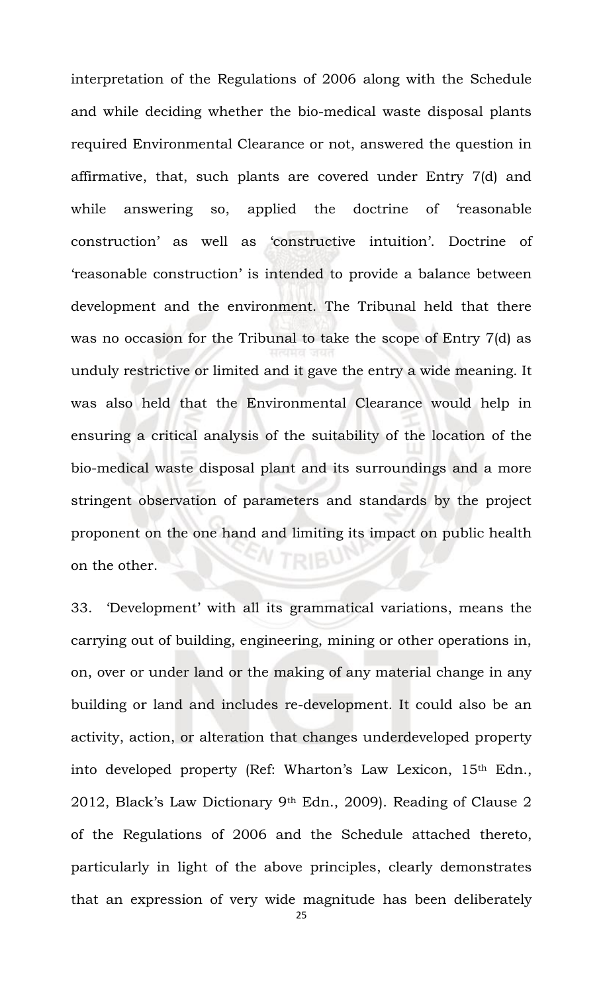interpretation of the Regulations of 2006 along with the Schedule and while deciding whether the bio-medical waste disposal plants required Environmental Clearance or not, answered the question in affirmative, that, such plants are covered under Entry 7(d) and while answering so, applied the doctrine of 'reasonable construction' as well as 'constructive intuition'. Doctrine of 'reasonable construction' is intended to provide a balance between development and the environment. The Tribunal held that there was no occasion for the Tribunal to take the scope of Entry 7(d) as unduly restrictive or limited and it gave the entry a wide meaning. It was also held that the Environmental Clearance would help in ensuring a critical analysis of the suitability of the location of the bio-medical waste disposal plant and its surroundings and a more stringent observation of parameters and standards by the project proponent on the one hand and limiting its impact on public health on the other.

33. 'Development' with all its grammatical variations, means the carrying out of building, engineering, mining or other operations in, on, over or under land or the making of any material change in any building or land and includes re-development. It could also be an activity, action, or alteration that changes underdeveloped property into developed property (Ref: Wharton's Law Lexicon, 15th Edn., 2012, Black's Law Dictionary 9th Edn., 2009). Reading of Clause 2 of the Regulations of 2006 and the Schedule attached thereto, particularly in light of the above principles, clearly demonstrates that an expression of very wide magnitude has been deliberately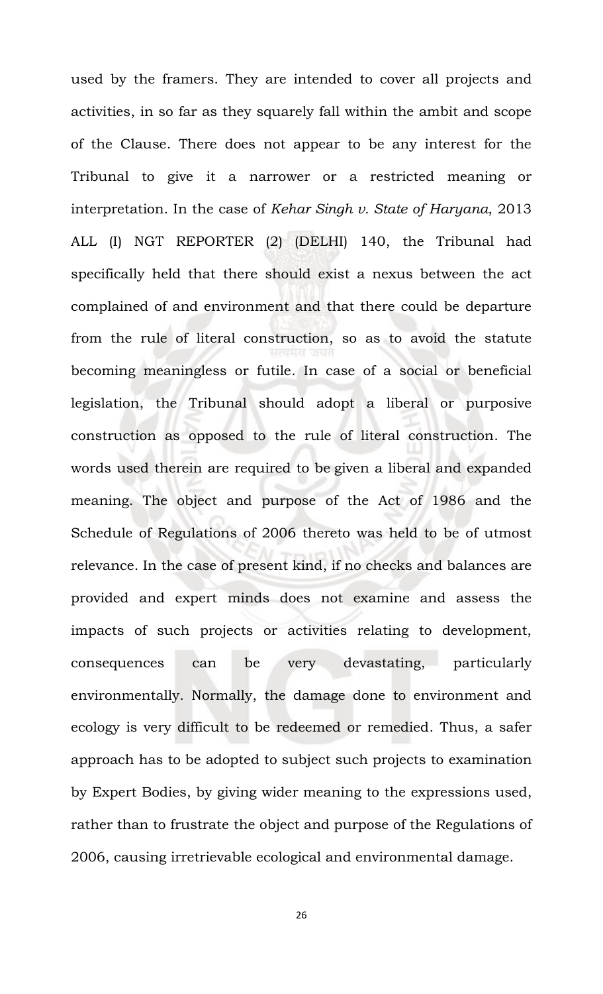used by the framers. They are intended to cover all projects and activities, in so far as they squarely fall within the ambit and scope of the Clause. There does not appear to be any interest for the Tribunal to give it a narrower or a restricted meaning or interpretation. In the case of *Kehar Singh v. State of Haryana*, 2013 ALL (I) NGT REPORTER (2) (DELHI) 140, the Tribunal had specifically held that there should exist a nexus between the act complained of and environment and that there could be departure from the rule of literal construction, so as to avoid the statute becoming meaningless or futile. In case of a social or beneficial legislation, the Tribunal should adopt a liberal or purposive construction as opposed to the rule of literal construction. The words used therein are required to be given a liberal and expanded meaning. The object and purpose of the Act of 1986 and the Schedule of Regulations of 2006 thereto was held to be of utmost relevance. In the case of present kind, if no checks and balances are provided and expert minds does not examine and assess the impacts of such projects or activities relating to development, consequences can be very devastating, particularly environmentally. Normally, the damage done to environment and ecology is very difficult to be redeemed or remedied. Thus, a safer approach has to be adopted to subject such projects to examination by Expert Bodies, by giving wider meaning to the expressions used, rather than to frustrate the object and purpose of the Regulations of 2006, causing irretrievable ecological and environmental damage.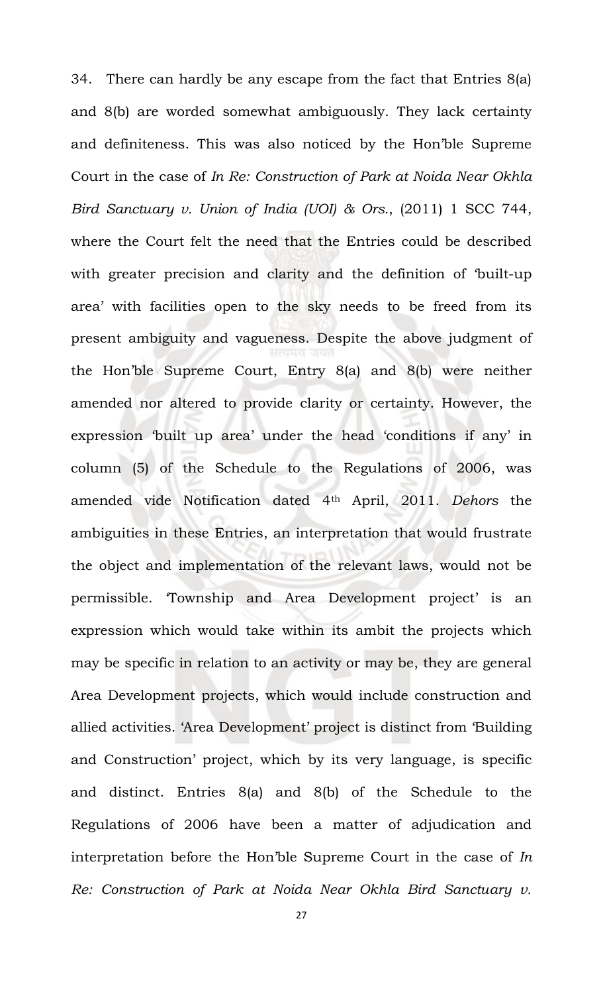34. There can hardly be any escape from the fact that Entries 8(a) and 8(b) are worded somewhat ambiguously. They lack certainty and definiteness. This was also noticed by the Hon'ble Supreme Court in the case of *In Re: Construction of Park at Noida Near Okhla Bird Sanctuary v. Union of India (UOI) & Ors.*, (2011) 1 SCC 744, where the Court felt the need that the Entries could be described with greater precision and clarity and the definition of 'built-up area' with facilities open to the sky needs to be freed from its present ambiguity and vagueness. Despite the above judgment of the Hon'ble Supreme Court, Entry 8(a) and 8(b) were neither amended nor altered to provide clarity or certainty. However, the expression 'built up area' under the head 'conditions if any' in column (5) of the Schedule to the Regulations of 2006, was amended vide Notification dated 4th April, 2011. *Dehors* the ambiguities in these Entries, an interpretation that would frustrate the object and implementation of the relevant laws, would not be permissible. 'Township and Area Development project' is an expression which would take within its ambit the projects which may be specific in relation to an activity or may be, they are general Area Development projects, which would include construction and allied activities. 'Area Development' project is distinct from 'Building and Construction' project, which by its very language, is specific and distinct. Entries 8(a) and 8(b) of the Schedule to the Regulations of 2006 have been a matter of adjudication and interpretation before the Hon'ble Supreme Court in the case of *In Re: Construction of Park at Noida Near Okhla Bird Sanctuary v.*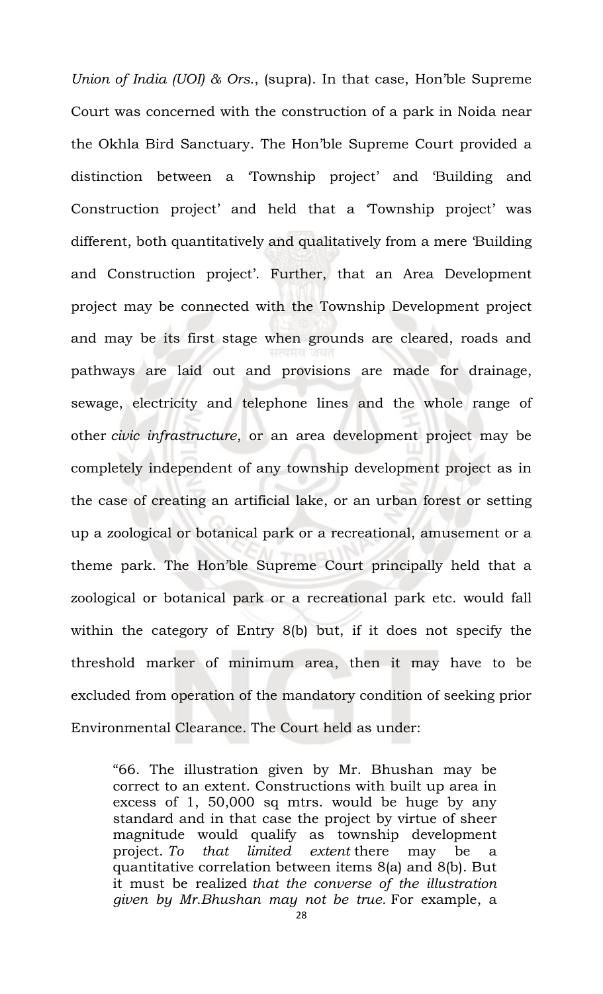*Union of India (UOI) & Ors.*, (supra). In that case, Hon'ble Supreme Court was concerned with the construction of a park in Noida near the Okhla Bird Sanctuary. The Hon'ble Supreme Court provided a distinction between a 'Township project' and 'Building and Construction project' and held that a 'Township project' was different, both quantitatively and qualitatively from a mere 'Building and Construction project'. Further, that an Area Development project may be connected with the Township Development project and may be its first stage when grounds are cleared, roads and pathways are laid out and provisions are made for drainage, sewage, electricity and telephone lines and the whole range of other *civic infrastructure*, or an area development project may be completely independent of any township development project as in the case of creating an artificial lake, or an urban forest or setting up a zoological or botanical park or a recreational, amusement or a theme park. The Hon'ble Supreme Court principally held that a zoological or botanical park or a recreational park etc. would fall within the category of Entry 8(b) but, if it does not specify the threshold marker of minimum area, then it may have to be excluded from operation of the mandatory condition of seeking prior Environmental Clearance. The Court held as under:

"66. The illustration given by Mr. Bhushan may be correct to an extent. Constructions with built up area in excess of 1, 50,000 sq mtrs. would be huge by any standard and in that case the project by virtue of sheer magnitude would qualify as township development project. *To that limited extent* there may be a quantitative correlation between items 8(a) and 8(b). But it must be realized *that the converse of the illustration given by Mr.Bhushan may not be true.* For example, a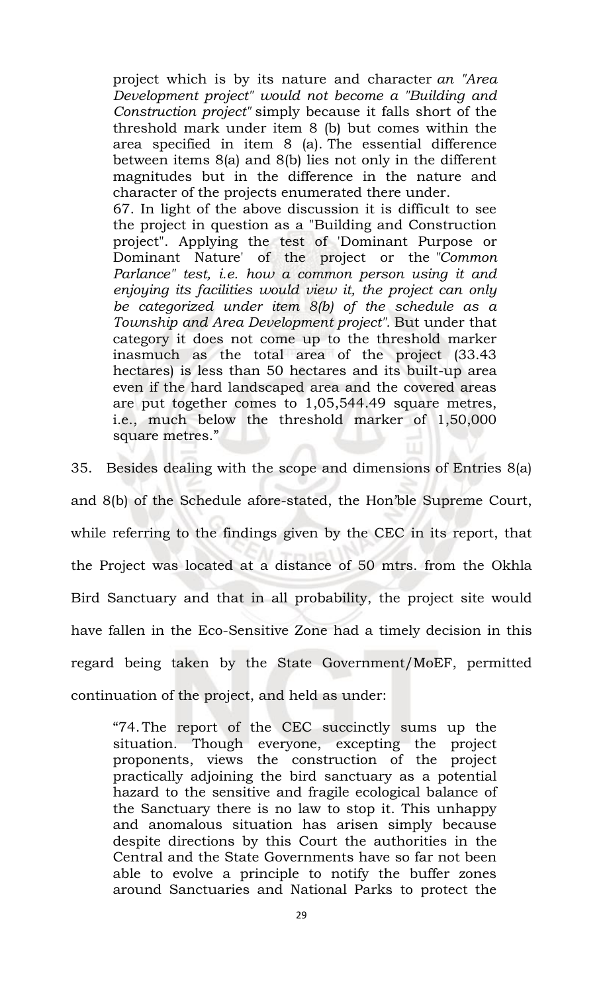project which is by its nature and character *an "Area Development project" would not become a "Building and Construction project"* simply because it falls short of the threshold mark under item 8 (b) but comes within the area specified in item 8 (a). The essential difference between items 8(a) and 8(b) lies not only in the different magnitudes but in the difference in the nature and character of the projects enumerated there under.

67. In light of the above discussion it is difficult to see the project in question as a "Building and Construction project". Applying the test of 'Dominant Purpose or Dominant Nature' of the project or the *"Common Parlance" test, i.e. how a common person using it and enjoying its facilities would view it, the project can only be categorized under item 8(b) of the schedule as a Township and Area Development project".* But under that category it does not come up to the threshold marker inasmuch as the total area of the project (33.43 hectares) is less than 50 hectares and its built-up area even if the hard landscaped area and the covered areas are put together comes to 1,05,544.49 square metres, i.e., much below the threshold marker of 1,50,000 square metres."

35. Besides dealing with the scope and dimensions of Entries 8(a) and 8(b) of the Schedule afore-stated, the Hon'ble Supreme Court, while referring to the findings given by the CEC in its report, that the Project was located at a distance of 50 mtrs. from the Okhla Bird Sanctuary and that in all probability, the project site would have fallen in the Eco-Sensitive Zone had a timely decision in this regard being taken by the State Government/MoEF, permitted continuation of the project, and held as under:

"74.The report of the CEC succinctly sums up the situation. Though everyone, excepting the project proponents, views the construction of the project practically adjoining the bird sanctuary as a potential hazard to the sensitive and fragile ecological balance of the Sanctuary there is no law to stop it. This unhappy and anomalous situation has arisen simply because despite directions by this Court the authorities in the Central and the State Governments have so far not been able to evolve a principle to notify the buffer zones around Sanctuaries and National Parks to protect the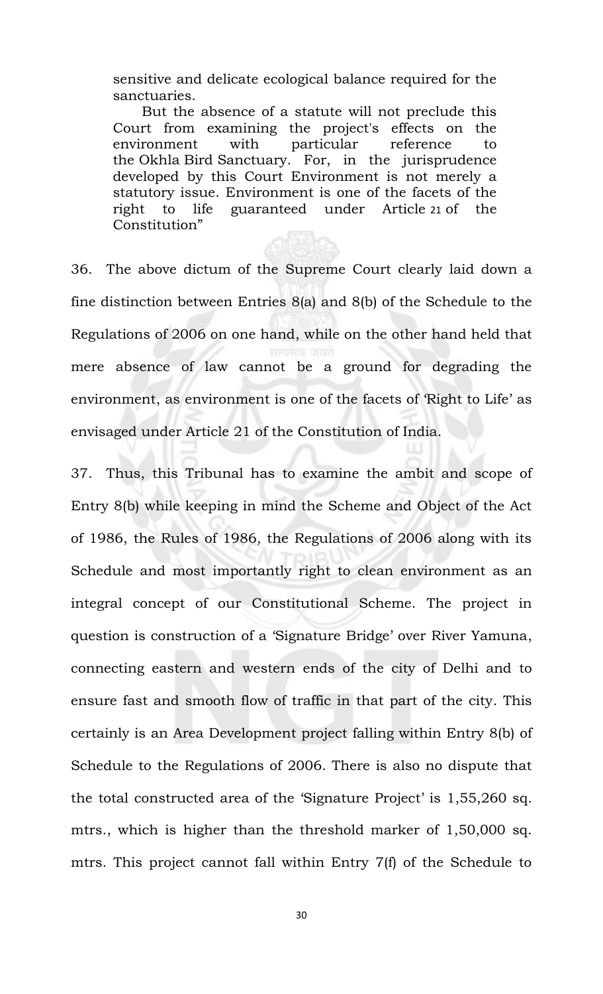sensitive and delicate ecological balance required for the sanctuaries.

But the absence of a statute will not preclude this Court from examining the project's effects on the environment with particular reference to the Okhla Bird Sanctuary. For, in the jurisprudence developed by this Court Environment is not merely a statutory issue. Environment is one of the facets of the right to life guaranteed under Article [21](javascript:fnOpenGlobalPopUp() of the Constitution"

36. The above dictum of the Supreme Court clearly laid down a fine distinction between Entries 8(a) and 8(b) of the Schedule to the Regulations of 2006 on one hand, while on the other hand held that mere absence of law cannot be a ground for degrading the environment, as environment is one of the facets of 'Right to Life' as envisaged under Article 21 of the Constitution of India.

37. Thus, this Tribunal has to examine the ambit and scope of Entry 8(b) while keeping in mind the Scheme and Object of the Act of 1986, the Rules of 1986, the Regulations of 2006 along with its Schedule and most importantly right to clean environment as an integral concept of our Constitutional Scheme. The project in question is construction of a 'Signature Bridge' over River Yamuna, connecting eastern and western ends of the city of Delhi and to ensure fast and smooth flow of traffic in that part of the city. This certainly is an Area Development project falling within Entry 8(b) of Schedule to the Regulations of 2006. There is also no dispute that the total constructed area of the 'Signature Project' is 1,55,260 sq. mtrs., which is higher than the threshold marker of 1,50,000 sq. mtrs. This project cannot fall within Entry 7(f) of the Schedule to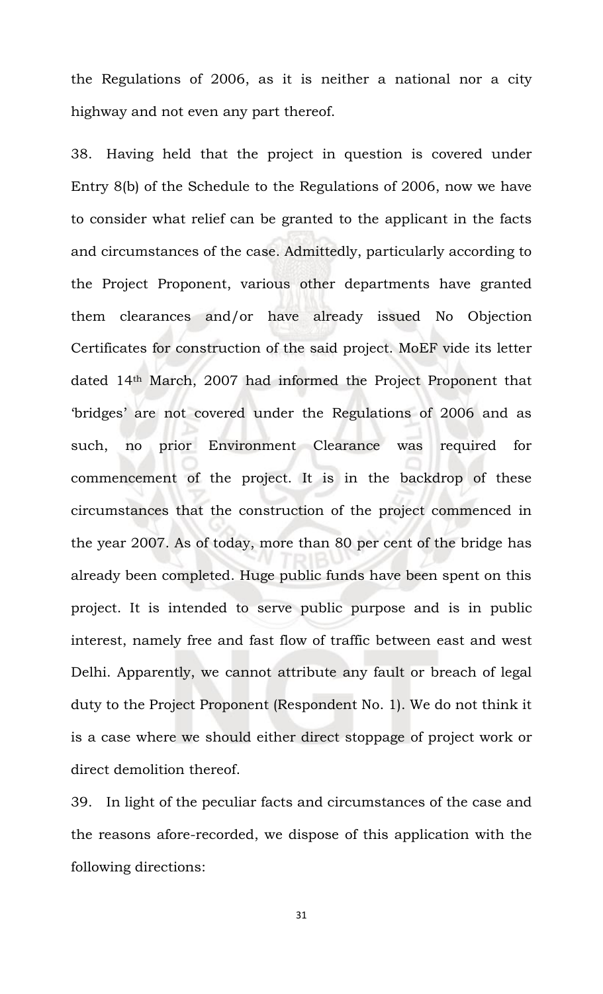the Regulations of 2006, as it is neither a national nor a city highway and not even any part thereof.

38. Having held that the project in question is covered under Entry 8(b) of the Schedule to the Regulations of 2006, now we have to consider what relief can be granted to the applicant in the facts and circumstances of the case. Admittedly, particularly according to the Project Proponent, various other departments have granted them clearances and/or have already issued No Objection Certificates for construction of the said project. MoEF vide its letter dated 14th March, 2007 had informed the Project Proponent that 'bridges' are not covered under the Regulations of 2006 and as such, no prior Environment Clearance was required for commencement of the project. It is in the backdrop of these circumstances that the construction of the project commenced in the year 2007. As of today, more than 80 per cent of the bridge has already been completed. Huge public funds have been spent on this project. It is intended to serve public purpose and is in public interest, namely free and fast flow of traffic between east and west Delhi. Apparently, we cannot attribute any fault or breach of legal duty to the Project Proponent (Respondent No. 1). We do not think it is a case where we should either direct stoppage of project work or direct demolition thereof.

39. In light of the peculiar facts and circumstances of the case and the reasons afore-recorded, we dispose of this application with the following directions: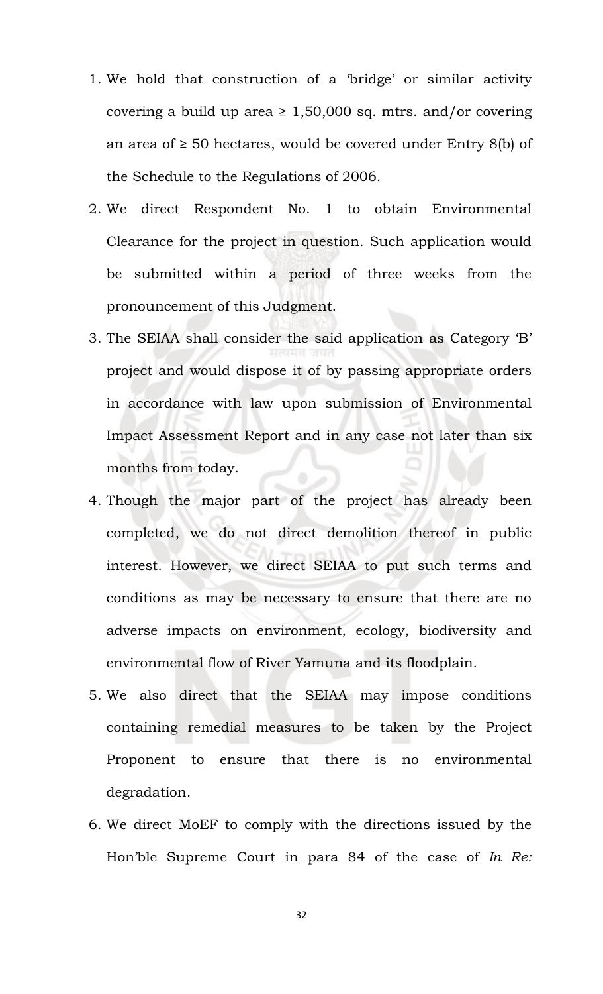- 1. We hold that construction of a 'bridge' or similar activity covering a build up area  $\geq 1,50,000$  sq. mtrs. and/or covering an area of  $\geq$  50 hectares, would be covered under Entry 8(b) of the Schedule to the Regulations of 2006.
- 2. We direct Respondent No. 1 to obtain Environmental Clearance for the project in question. Such application would be submitted within a period of three weeks from the pronouncement of this Judgment.
- 3. The SEIAA shall consider the said application as Category 'B' project and would dispose it of by passing appropriate orders in accordance with law upon submission of Environmental Impact Assessment Report and in any case not later than six months from today.
- 4. Though the major part of the project has already been completed, we do not direct demolition thereof in public interest. However, we direct SEIAA to put such terms and conditions as may be necessary to ensure that there are no adverse impacts on environment, ecology, biodiversity and environmental flow of River Yamuna and its floodplain.
- 5. We also direct that the SEIAA may impose conditions containing remedial measures to be taken by the Project Proponent to ensure that there is no environmental degradation.
- 6. We direct MoEF to comply with the directions issued by the Hon'ble Supreme Court in para 84 of the case of *In Re:*